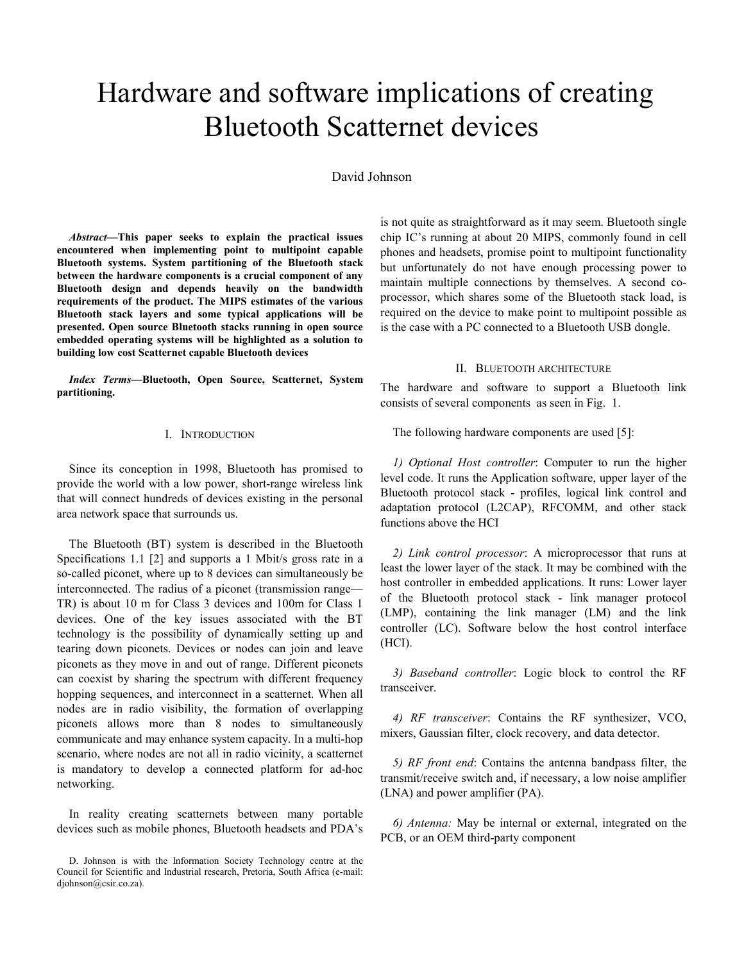# Hardware and software implications of creating Bluetooth Scatternet devices

## David Johnson

Abstract—This paper seeks to explain the practical issues encountered when implementing point to multipoint capable Bluetooth systems. System partitioning of the Bluetooth stack between the hardware components is a crucial component of any Bluetooth design and depends heavily on the bandwidth requirements of the product. The MIPS estimates of the various Bluetooth stack layers and some typical applications will be presented. Open source Bluetooth stacks running in open source embedded operating systems will be highlighted as a solution to building low cost Scatternet capable Bluetooth devices

Index Terms—Bluetooth, Open Source, Scatternet, System partitioning.

#### I. INTRODUCTION

Since its conception in 1998, Bluetooth has promised to provide the world with a low power, short-range wireless link that will connect hundreds of devices existing in the personal area network space that surrounds us.

The Bluetooth (BT) system is described in the Bluetooth Specifications 1.1 [2] and supports a 1 Mbit/s gross rate in a so-called piconet, where up to 8 devices can simultaneously be interconnected. The radius of a piconet (transmission range–– TR) is about 10 m for Class 3 devices and 100m for Class 1 devices. One of the key issues associated with the BT technology is the possibility of dynamically setting up and tearing down piconets. Devices or nodes can join and leave piconets as they move in and out of range. Different piconets can coexist by sharing the spectrum with different frequency hopping sequences, and interconnect in a scatternet. When all nodes are in radio visibility, the formation of overlapping piconets allows more than 8 nodes to simultaneously communicate and may enhance system capacity. In a multi-hop scenario, where nodes are not all in radio vicinity, a scatternet is mandatory to develop a connected platform for ad-hoc networking.

In reality creating scatternets between many portable devices such as mobile phones, Bluetooth headsets and PDA's is not quite as straightforward as it may seem. Bluetooth single chip IC's running at about 20 MIPS, commonly found in cell phones and headsets, promise point to multipoint functionality but unfortunately do not have enough processing power to maintain multiple connections by themselves. A second coprocessor, which shares some of the Bluetooth stack load, is required on the device to make point to multipoint possible as is the case with a PC connected to a Bluetooth USB dongle.

#### II. BLUETOOTH ARCHITECTURE

The hardware and software to support a Bluetooth link consists of several components as seen in Fig. 1.

The following hardware components are used [5]:

1) Optional Host controller: Computer to run the higher level code. It runs the Application software, upper layer of the Bluetooth protocol stack - profiles, logical link control and adaptation protocol (L2CAP), RFCOMM, and other stack functions above the HCI

2) Link control processor: A microprocessor that runs at least the lower layer of the stack. It may be combined with the host controller in embedded applications. It runs: Lower layer of the Bluetooth protocol stack - link manager protocol (LMP), containing the link manager (LM) and the link controller (LC). Software below the host control interface (HCI).

3) Baseband controller: Logic block to control the RF transceiver.

4) RF transceiver: Contains the RF synthesizer, VCO, mixers, Gaussian filter, clock recovery, and data detector.

5) RF front end: Contains the antenna bandpass filter, the transmit/receive switch and, if necessary, a low noise amplifier (LNA) and power amplifier (PA).

6) Antenna: May be internal or external, integrated on the PCB, or an OEM third-party component

D. Johnson is with the Information Society Technology centre at the Council for Scientific and Industrial research, Pretoria, South Africa (e-mail: djohnson@csir.co.za).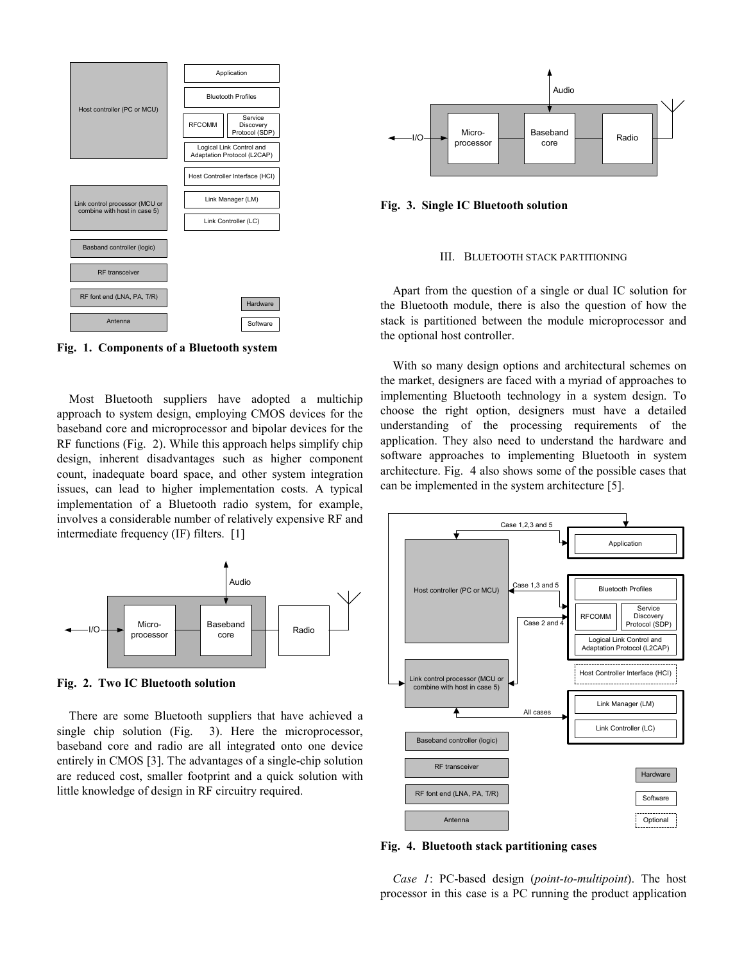

Fig. 1. Components of a Bluetooth system

Most Bluetooth suppliers have adopted a multichip approach to system design, employing CMOS devices for the baseband core and microprocessor and bipolar devices for the RF functions (Fig. 2). While this approach helps simplify chip design, inherent disadvantages such as higher component count, inadequate board space, and other system integration issues, can lead to higher implementation costs. A typical implementation of a Bluetooth radio system, for example, involves a considerable number of relatively expensive RF and intermediate frequency (IF) filters. [1]



Fig. 2. Two IC Bluetooth solution

There are some Bluetooth suppliers that have achieved a single chip solution (Fig. 3). Here the microprocessor, baseband core and radio are all integrated onto one device entirely in CMOS [3]. The advantages of a single-chip solution are reduced cost, smaller footprint and a quick solution with little knowledge of design in RF circuitry required.



Fig. 3. Single IC Bluetooth solution

#### III. BLUETOOTH STACK PARTITIONING

Apart from the question of a single or dual IC solution for the Bluetooth module, there is also the question of how the stack is partitioned between the module microprocessor and the optional host controller.

With so many design options and architectural schemes on the market, designers are faced with a myriad of approaches to implementing Bluetooth technology in a system design. To choose the right option, designers must have a detailed understanding of the processing requirements of the application. They also need to understand the hardware and software approaches to implementing Bluetooth in system architecture. Fig. 4 also shows some of the possible cases that can be implemented in the system architecture [5].



Fig. 4. Bluetooth stack partitioning cases

Case 1: PC-based design (point-to-multipoint). The host processor in this case is a PC running the product application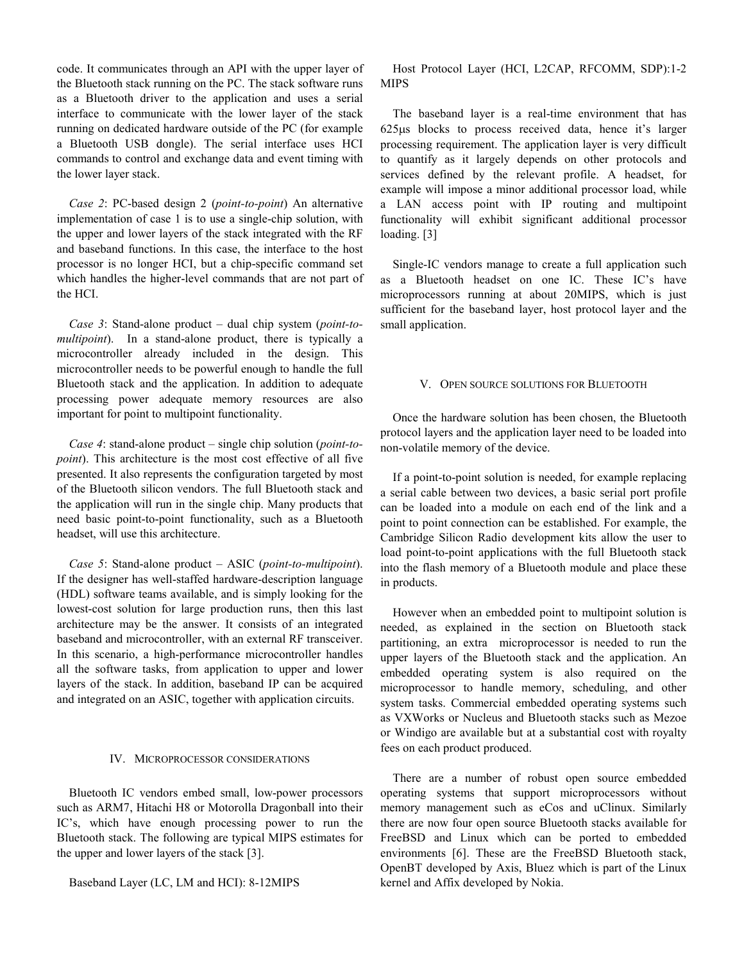code. It communicates through an API with the upper layer of the Bluetooth stack running on the PC. The stack software runs as a Bluetooth driver to the application and uses a serial interface to communicate with the lower layer of the stack running on dedicated hardware outside of the PC (for example a Bluetooth USB dongle). The serial interface uses HCI commands to control and exchange data and event timing with the lower layer stack.

Case 2: PC-based design 2 (point-to-point) An alternative implementation of case 1 is to use a single-chip solution, with the upper and lower layers of the stack integrated with the RF and baseband functions. In this case, the interface to the host processor is no longer HCI, but a chip-specific command set which handles the higher-level commands that are not part of the HCI.

Case 3: Stand-alone product – dual chip system (point-tomultipoint). In a stand-alone product, there is typically a microcontroller already included in the design. This microcontroller needs to be powerful enough to handle the full Bluetooth stack and the application. In addition to adequate processing power adequate memory resources are also important for point to multipoint functionality.

Case 4: stand-alone product – single chip solution (point-topoint). This architecture is the most cost effective of all five presented. It also represents the configuration targeted by most of the Bluetooth silicon vendors. The full Bluetooth stack and the application will run in the single chip. Many products that need basic point-to-point functionality, such as a Bluetooth headset, will use this architecture.

Case 5: Stand-alone product – ASIC (point-to-multipoint). If the designer has well-staffed hardware-description language (HDL) software teams available, and is simply looking for the lowest-cost solution for large production runs, then this last architecture may be the answer. It consists of an integrated baseband and microcontroller, with an external RF transceiver. In this scenario, a high-performance microcontroller handles all the software tasks, from application to upper and lower layers of the stack. In addition, baseband IP can be acquired and integrated on an ASIC, together with application circuits.

#### IV. MICROPROCESSOR CONSIDERATIONS

Bluetooth IC vendors embed small, low-power processors such as ARM7, Hitachi H8 or Motorolla Dragonball into their IC's, which have enough processing power to run the Bluetooth stack. The following are typical MIPS estimates for the upper and lower layers of the stack [3].

Baseband Layer (LC, LM and HCI): 8-12MIPS

Host Protocol Layer (HCI, L2CAP, RFCOMM, SDP):1-2 MIPS

The baseband layer is a real-time environment that has 625µs blocks to process received data, hence it's larger processing requirement. The application layer is very difficult to quantify as it largely depends on other protocols and services defined by the relevant profile. A headset, for example will impose a minor additional processor load, while a LAN access point with IP routing and multipoint functionality will exhibit significant additional processor loading. [3]

Single-IC vendors manage to create a full application such as a Bluetooth headset on one IC. These IC's have microprocessors running at about 20MIPS, which is just sufficient for the baseband layer, host protocol layer and the small application.

### V. OPEN SOURCE SOLUTIONS FOR BLUETOOTH

Once the hardware solution has been chosen, the Bluetooth protocol layers and the application layer need to be loaded into non-volatile memory of the device.

If a point-to-point solution is needed, for example replacing a serial cable between two devices, a basic serial port profile can be loaded into a module on each end of the link and a point to point connection can be established. For example, the Cambridge Silicon Radio development kits allow the user to load point-to-point applications with the full Bluetooth stack into the flash memory of a Bluetooth module and place these in products.

However when an embedded point to multipoint solution is needed, as explained in the section on Bluetooth stack partitioning, an extra microprocessor is needed to run the upper layers of the Bluetooth stack and the application. An embedded operating system is also required on the microprocessor to handle memory, scheduling, and other system tasks. Commercial embedded operating systems such as VXWorks or Nucleus and Bluetooth stacks such as Mezoe or Windigo are available but at a substantial cost with royalty fees on each product produced.

There are a number of robust open source embedded operating systems that support microprocessors without memory management such as eCos and uClinux. Similarly there are now four open source Bluetooth stacks available for FreeBSD and Linux which can be ported to embedded environments [6]. These are the FreeBSD Bluetooth stack, OpenBT developed by Axis, Bluez which is part of the Linux kernel and Affix developed by Nokia.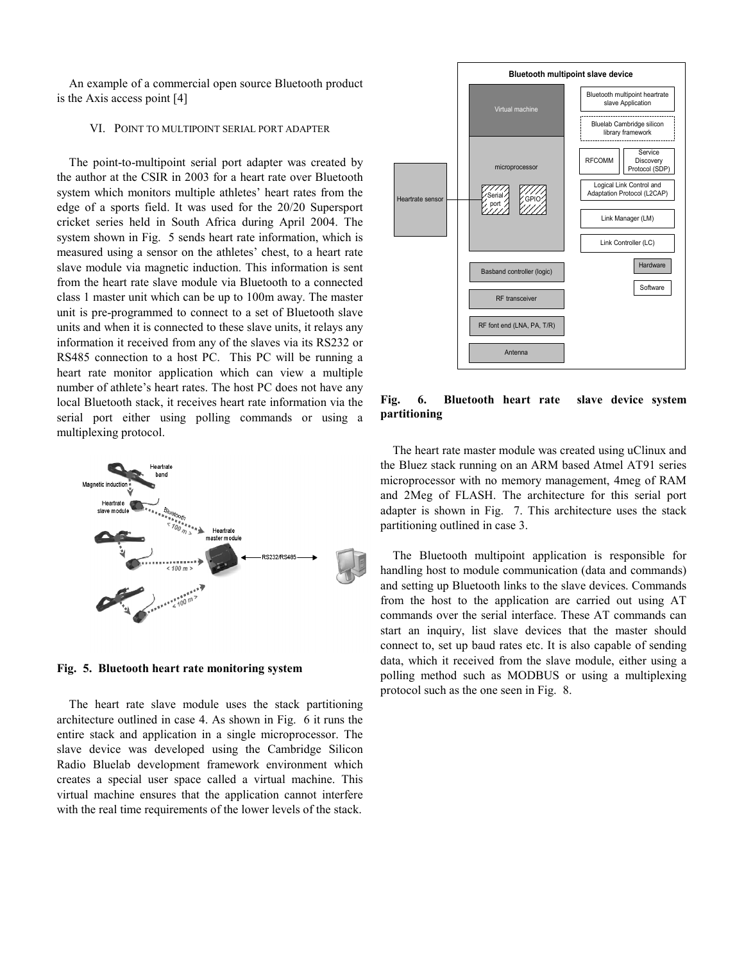An example of a commercial open source Bluetooth product is the Axis access point [4]

#### VI. POINT TO MULTIPOINT SERIAL PORT ADAPTER

The point-to-multipoint serial port adapter was created by the author at the CSIR in 2003 for a heart rate over Bluetooth system which monitors multiple athletes' heart rates from the edge of a sports field. It was used for the 20/20 Supersport cricket series held in South Africa during April 2004. The system shown in Fig. 5 sends heart rate information, which is measured using a sensor on the athletes' chest, to a heart rate slave module via magnetic induction. This information is sent from the heart rate slave module via Bluetooth to a connected class 1 master unit which can be up to 100m away. The master unit is pre-programmed to connect to a set of Bluetooth slave units and when it is connected to these slave units, it relays any information it received from any of the slaves via its RS232 or RS485 connection to a host PC. This PC will be running a heart rate monitor application which can view a multiple number of athlete's heart rates. The host PC does not have any local Bluetooth stack, it receives heart rate information via the serial port either using polling commands or using a multiplexing protocol.



Fig. 5. Bluetooth heart rate monitoring system

The heart rate slave module uses the stack partitioning architecture outlined in case 4. As shown in Fig. 6 it runs the entire stack and application in a single microprocessor. The slave device was developed using the Cambridge Silicon Radio Bluelab development framework environment which creates a special user space called a virtual machine. This virtual machine ensures that the application cannot interfere with the real time requirements of the lower levels of the stack.



Fig. 6. Bluetooth heart rate slave device system partitioning

The heart rate master module was created using uClinux and the Bluez stack running on an ARM based Atmel AT91 series microprocessor with no memory management, 4meg of RAM and 2Meg of FLASH. The architecture for this serial port adapter is shown in Fig. 7. This architecture uses the stack partitioning outlined in case 3.

The Bluetooth multipoint application is responsible for handling host to module communication (data and commands) and setting up Bluetooth links to the slave devices. Commands from the host to the application are carried out using AT commands over the serial interface. These AT commands can start an inquiry, list slave devices that the master should connect to, set up baud rates etc. It is also capable of sending data, which it received from the slave module, either using a polling method such as MODBUS or using a multiplexing protocol such as the one seen in Fig. 8.